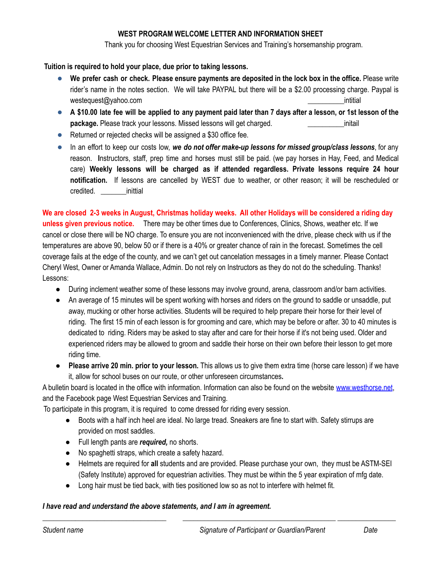# **WEST PROGRAM WELCOME LETTER AND INFORMATION SHEET**

Thank you for choosing West Equestrian Services and Training's horsemanship program.

## **Tuition is required to hold your place, due prior to taking lessons.**

- We prefer cash or check. Please ensure payments are deposited in the lock box in the office. Please write rider's name in the notes section. We will take PAYPAL but there will be a \$2.00 processing charge. Paypal is westequest@yahoo.com **being the set of the set of the set of the set of the set of the set of the set of the set of the set of the set of the set of the set of the set of the set of the set of the set of the set of the set**
- A \$10.00 late fee will be applied to any payment paid later than 7 days after a lesson, or 1st lesson of the **package.** Please track your lessons. Missed lessons will get charged. **Example 20** initail
- Returned or rejected checks will be assigned a \$30 office fee.
- In an effort to keep our costs low, *we do not offer make-up lessons for missed group/class lessons*, for any reason. **I**nstructors, staff, prep time and horses must still be paid. (we pay horses in Hay, Feed, and Medical care) **Weekly lessons will be charged as if attended regardless. Private lessons require 24 hour notification.** If lessons are cancelled by WEST due to weather, or other reason; it will be rescheduled or credited. \_\_\_\_\_\_\_inittial

We are closed 2-3 weeks in August, Christmas holiday weeks. All other Holidays will be considered a riding day **unless given previous notice.** There may be other times due to Conferences, Clinics, Shows, weather etc. If we cancel or close there will be NO charge. To ensure you are not inconvenienced with the drive, please check with us if the temperatures are above 90, below 50 or if there is a 40% or greater chance of rain in the forecast. Sometimes the cell coverage fails at the edge of the county, and we can't get out cancelation messages in a timely manner. Please Contact Cheryl West, Owner or Amanda Wallace, Admin. Do not rely on Instructors as they do not do the scheduling. Thanks! Lessons:

- During inclement weather some of these lessons may involve ground, arena, classroom and/or barn activities.
- An average of 15 minutes will be spent working with horses and riders on the ground to saddle or unsaddle, put away, mucking or other horse activities. Students will be required to help prepare their horse for their level of riding. The first 15 min of each lesson is for grooming and care, which may be before or after. 30 to 40 minutes is dedicated to riding. Riders may be asked to stay after and care for their horse if it's not being used. Older and experienced riders may be allowed to groom and saddle their horse on their own before their lesson to get more riding time.
- **Please arrive 20 min. prior to your lesson.** This allows us to give them extra time (horse care lesson) if we have it, allow for school buses on our route, or other unforeseen circumstances**.**

A bulletin board is located in the office with information. Information can also be found on the website [www.westhorse.net](http://www.westhorse.net), and the Facebook page West Equestrian Services and Training.

To participate in this program, it is required to come dressed for riding every session.

● Boots with a half inch heel are ideal. No large tread. Sneakers are fine to start with. Safety stirrups are provided on most saddles.

*\_\_\_\_\_\_\_\_\_\_\_\_\_\_\_\_\_\_\_\_\_\_\_\_\_\_\_\_\_\_\_\_\_\_ \_\_\_\_\_\_\_\_\_\_\_\_\_\_\_\_\_\_\_\_\_\_\_\_\_\_\_\_\_\_\_\_\_\_\_\_\_\_\_\_\_\_ \_\_\_\_\_\_\_\_\_\_\_\_\_\_\_\_*

- Full length pants are *required,* no shorts.
- No spaghetti straps, which create a safety hazard.
- Helmets are required for **all** students and are provided. Please purchase your own, they must be ASTM-SEI (Safety Institute) approved for equestrian activities. They must be within the 5 year expiration of mfg date.
- Long hair must be tied back, with ties positioned low so as not to interfere with helmet fit.

## *I have read and understand the above statements, and I am in agreement.*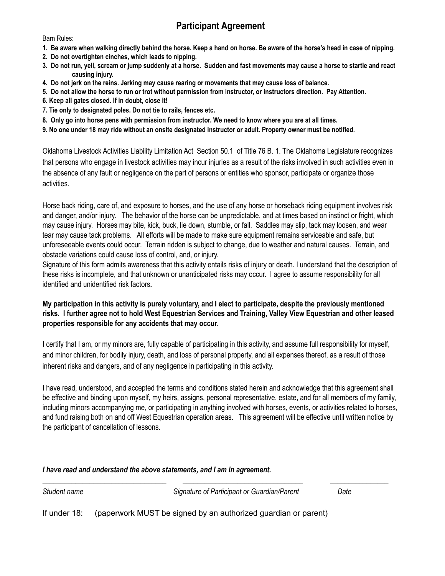# **Participant Agreement**

Barn Rules:

- 1. Be aware when walking directly behind the horse. Keep a hand on horse. Be aware of the horse's head in case of nipping.
- **2. Do not overtighten cinches, which leads to nipping.**
- 3. Do not run, yell, scream or jump suddenly at a horse. Sudden and fast movements may cause a horse to startle and react **causing injury.**
- 4. Do not jerk on the reins. Jerking may cause rearing or movements that may cause loss of balance.
- 5. Do not allow the horse to run or trot without permission from instructor, or instructors direction. Pay Attention.
- **6. Keep all gates closed. If in doubt, close it!**
- **7. Tie only to designated poles. Do not tie to rails, fences etc.**
- 8. Only go into horse pens with permission from instructor. We need to know where you are at all times.
- 9. No one under 18 may ride without an onsite designated instructor or adult. Property owner must be notified.

Oklahoma Livestock Activities Liability Limitation Act Section 50.1 of Title 76 B. 1. The Oklahoma Legislature recognizes that persons who engage in livestock activities may incur injuries as a result of the risks involved in such activities even in the absence of any fault or negligence on the part of persons or entities who sponsor, participate or organize those activities.

Horse back riding, care of, and exposure to horses, and the use of any horse or horseback riding equipment involves risk and danger, and/or injury. The behavior of the horse can be unpredictable, and at times based on instinct or fright, which may cause injury. Horses may bite, kick, buck, lie down, stumble, or fall. Saddles may slip, tack may loosen, and wear tear may cause tack problems. All efforts will be made to make sure equipment remains serviceable and safe, but unforeseeable events could occur. Terrain ridden is subject to change, due to weather and natural causes. Terrain, and obstacle variations could cause loss of control, and, or injury.

Signature of this form admits awareness that this activity entails risks of injury or death. I understand that the description of these risks is incomplete, and that unknown or unanticipated risks may occur. I agree to assume responsibility for all identified and unidentified risk factors**.**

# My participation in this activity is purely voluntary, and I elect to participate, despite the previously mentioned risks. I further agree not to hold West Equestrian Services and Training, Valley View Equestrian and other leased **properties responsible for any accidents that may occur.**

I certify that I am, or my minors are, fully capable of participating in this activity, and assume full responsibility for myself, and minor children, for bodily injury, death, and loss of personal property, and all expenses thereof, as a result of those inherent risks and dangers, and of any negligence in participating in this activity.

I have read, understood, and accepted the terms and conditions stated herein and acknowledge that this agreement shall be effective and binding upon myself, my heirs, assigns, personal representative, estate, and for all members of my family, including minors accompanying me, or participating in anything involved with horses, events, or activities related to horses, and fund raising both on and off West Equestrian operation areas. This agreement will be effective until written notice by the participant of cancellation of lessons.

*\_\_\_\_\_\_\_\_\_\_\_\_\_\_\_\_\_\_\_\_\_\_\_\_\_\_\_\_\_\_\_\_\_\_ \_\_\_\_\_\_\_\_\_\_\_\_\_\_\_\_\_\_\_\_\_\_\_\_\_\_\_\_\_\_\_\_\_ \_\_\_\_\_\_\_\_\_\_\_\_\_\_\_\_*

## *I have read and understand the above statements, and I am in agreement.*

*Student name Signature of Participant or Guardian/Parent Date*

If under 18: (paperwork MUST be signed by an authorized guardian or parent)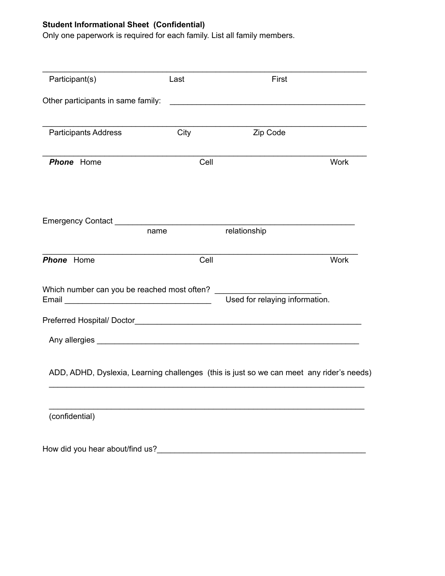# **Student Informational Sheet (Confidential)**

Only one paperwork is required for each family. List all family members.

| Participant(s)                     | Last                                        | First                                                                                                                 |             |
|------------------------------------|---------------------------------------------|-----------------------------------------------------------------------------------------------------------------------|-------------|
| Other participants in same family: |                                             | <u> 1989 - Johann John Stone, mars eta inperiodo eta inperiodo eta inperiodo eta inperiodo eta inperiodo eta inpe</u> |             |
| <b>Participants Address</b>        | City                                        | Zip Code                                                                                                              |             |
| <b>Phone</b> Home                  | Cell                                        |                                                                                                                       | <b>Work</b> |
|                                    | name                                        | relationship                                                                                                          |             |
| <b>Phone</b> Home                  | Cell                                        |                                                                                                                       | <b>Work</b> |
|                                    | Which number can you be reached most often? | Used for relaying information.                                                                                        |             |
|                                    |                                             |                                                                                                                       |             |
|                                    |                                             |                                                                                                                       |             |
|                                    |                                             | ADD, ADHD, Dyslexia, Learning challenges (this is just so we can meet any rider's needs)                              |             |
| (confidential)                     |                                             |                                                                                                                       |             |
| How did you hear about/find us?    |                                             |                                                                                                                       |             |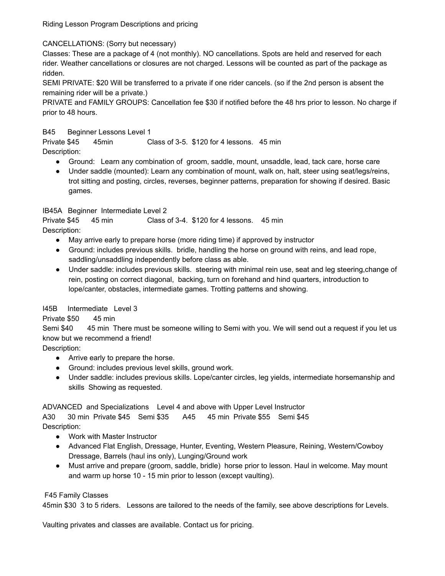Riding Lesson Program Descriptions and pricing

CANCELLATIONS: (Sorry but necessary)

Classes: These are a package of 4 (not monthly). NO cancellations. Spots are held and reserved for each rider. Weather cancellations or closures are not charged. Lessons will be counted as part of the package as ridden.

SEMI PRIVATE: \$20 Will be transferred to a private if one rider cancels. (so if the 2nd person is absent the remaining rider will be a private.)

PRIVATE and FAMILY GROUPS: Cancellation fee \$30 if notified before the 48 hrs prior to lesson. No charge if prior to 48 hours.

B45 Beginner Lessons Level 1

Private \$45 45min Class of 3-5. \$120 for 4 lessons. 45 min Description:

- Ground: Learn any combination of groom, saddle, mount, unsaddle, lead, tack care, horse care
- Under saddle (mounted): Learn any combination of mount, walk on, halt, steer using seat/legs/reins, trot sitting and posting, circles, reverses, beginner patterns, preparation for showing if desired. Basic games.

IB45A Beginner Intermediate Level 2

Private \$45 45 min Class of 3-4. \$120 for 4 lessons. 45 min Description:

- May arrive early to prepare horse (more riding time) if approved by instructor
- Ground: includes previous skills. bridle, handling the horse on ground with reins, and lead rope, saddling/unsaddling independently before class as able.
- Under saddle: includes previous skills. steering with minimal rein use, seat and leg steering,change of rein, posting on correct diagonal, backing, turn on forehand and hind quarters, introduction to lope/canter, obstacles, intermediate games. Trotting patterns and showing.

## I45B Intermediate Level 3

Private \$50 45 min

Semi \$40 45 min There must be someone willing to Semi with you. We will send out a request if you let us know but we recommend a friend!

Description:

- Arrive early to prepare the horse.
- Ground: includes previous level skills, ground work.
- Under saddle: includes previous skills. Lope/canter circles, leg yields, intermediate horsemanship and skills Showing as requested.

ADVANCED and Specializations Level 4 and above with Upper Level Instructor

A30 30 min Private \$45 Semi \$35 A45 45 min Private \$55 Semi \$45 Description:

- Work with Master Instructor
- Advanced Flat English, Dressage, Hunter, Eventing, Western Pleasure, Reining, Western/Cowboy Dressage, Barrels (haul ins only), Lunging/Ground work
- Must arrive and prepare (groom, saddle, bridle) horse prior to lesson. Haul in welcome. May mount and warm up horse 10 - 15 min prior to lesson (except vaulting).

F45 Family Classes

45min \$30 3 to 5 riders. Lessons are tailored to the needs of the family, see above descriptions for Levels.

Vaulting privates and classes are available. Contact us for pricing.